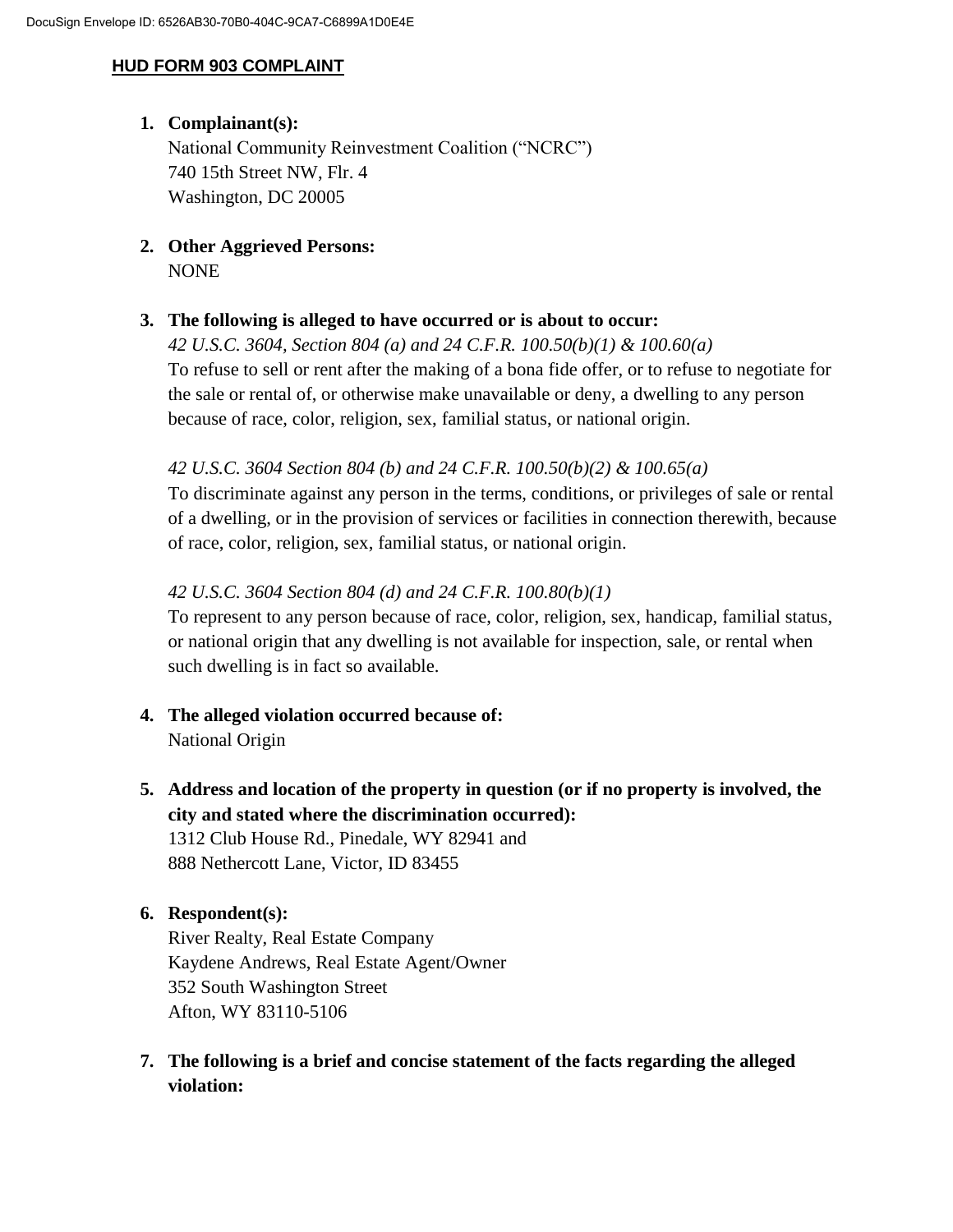## **HUD FORM 903 COMPLAINT**

## **1. Complainant(s):**

National Community Reinvestment Coalition ("NCRC") 740 15th Street NW, Flr. 4 Washington, DC 20005

**2. Other Aggrieved Persons:** NONE

## **3. The following is alleged to have occurred or is about to occur:**

*42 U.S.C. 3604, Section 804 (a) and 24 C.F.R. 100.50(b)(1) & 100.60(a)* To refuse to sell or rent after the making of a bona fide offer, or to refuse to negotiate for the sale or rental of, or otherwise make unavailable or deny, a [dwelling](https://www.law.cornell.edu/definitions/uscode.php?width=840&height=800&iframe=true&def_id=42-USC-514619504-1301416057&term_occur=999&term_src=title:42:chapter:45:subchapter:I:section:3604) to any [person](https://www.law.cornell.edu/definitions/uscode.php?width=840&height=800&iframe=true&def_id=42-USC-1907849355-1301416055&term_occur=999&term_src=title:42:chapter:45:subchapter:I:section:3604)  because of race, color, religion, sex, [familial status,](https://www.law.cornell.edu/definitions/uscode.php?width=840&height=800&iframe=true&def_id=42-USC-1204555923-1301416048&term_occur=999&term_src=title:42:chapter:45:subchapter:I:section:3604) or national origin.

## *42 U.S.C. 3604 Section 804 (b) and 24 C.F.R. 100.50(b)(2) & 100.65(a)*

To discriminate against any [person](https://www.law.cornell.edu/definitions/uscode.php?width=840&height=800&iframe=true&def_id=42-USC-1907849355-1301416055&term_occur=999&term_src=title:42:chapter:45:subchapter:I:section:3604) in the terms, conditions, or privileges of sale or rental of a [dwelling,](https://www.law.cornell.edu/definitions/uscode.php?width=840&height=800&iframe=true&def_id=42-USC-514619504-1301416057&term_occur=999&term_src=title:42:chapter:45:subchapter:I:section:3604) or in the provision of services or facilities in connection therewith, because of race, color, religion, sex, [familial status,](https://www.law.cornell.edu/definitions/uscode.php?width=840&height=800&iframe=true&def_id=42-USC-1204555923-1301416048&term_occur=999&term_src=title:42:chapter:45:subchapter:I:section:3604) or national origin.

## *42 U.S.C. 3604 Section 804 (d) and 24 C.F.R. 100.80(b)(1)*

To represent to any [person](https://www.law.cornell.edu/definitions/uscode.php?width=840&height=800&iframe=true&def_id=42-USC-1907849355-1301416055&term_occur=999&term_src=title:42:chapter:45:subchapter:I:section:3604) because of race, color, religion, sex, [handicap,](https://www.law.cornell.edu/definitions/uscode.php?width=840&height=800&iframe=true&def_id=42-USC-66621400-1301416051&term_occur=999&term_src=title:42:chapter:45:subchapter:I:section:3604) [familial status,](https://www.law.cornell.edu/definitions/uscode.php?width=840&height=800&iframe=true&def_id=42-USC-1204555923-1301416048&term_occur=999&term_src=title:42:chapter:45:subchapter:I:section:3604) or national origin that any [dwelling i](https://www.law.cornell.edu/definitions/uscode.php?width=840&height=800&iframe=true&def_id=42-USC-514619504-1301416057&term_occur=999&term_src=title:42:chapter:45:subchapter:I:section:3604)s not available for inspection, sale, or rental when such [dwelling i](https://www.law.cornell.edu/definitions/uscode.php?width=840&height=800&iframe=true&def_id=42-USC-514619504-1301416057&term_occur=999&term_src=title:42:chapter:45:subchapter:I:section:3604)s in fact so available.

- **4. The alleged violation occurred because of:**  National Origin
- **5. Address and location of the property in question (or if no property is involved, the city and stated where the discrimination occurred):** 1312 Club House Rd., Pinedale, WY 82941 and 888 Nethercott Lane, Victor, ID 83455

# **6. Respondent(s):**

River Realty, Real Estate Company Kaydene Andrews, Real Estate Agent/Owner 352 South Washington Street Afton, WY 83110-5106

**7. The following is a brief and concise statement of the facts regarding the alleged violation:**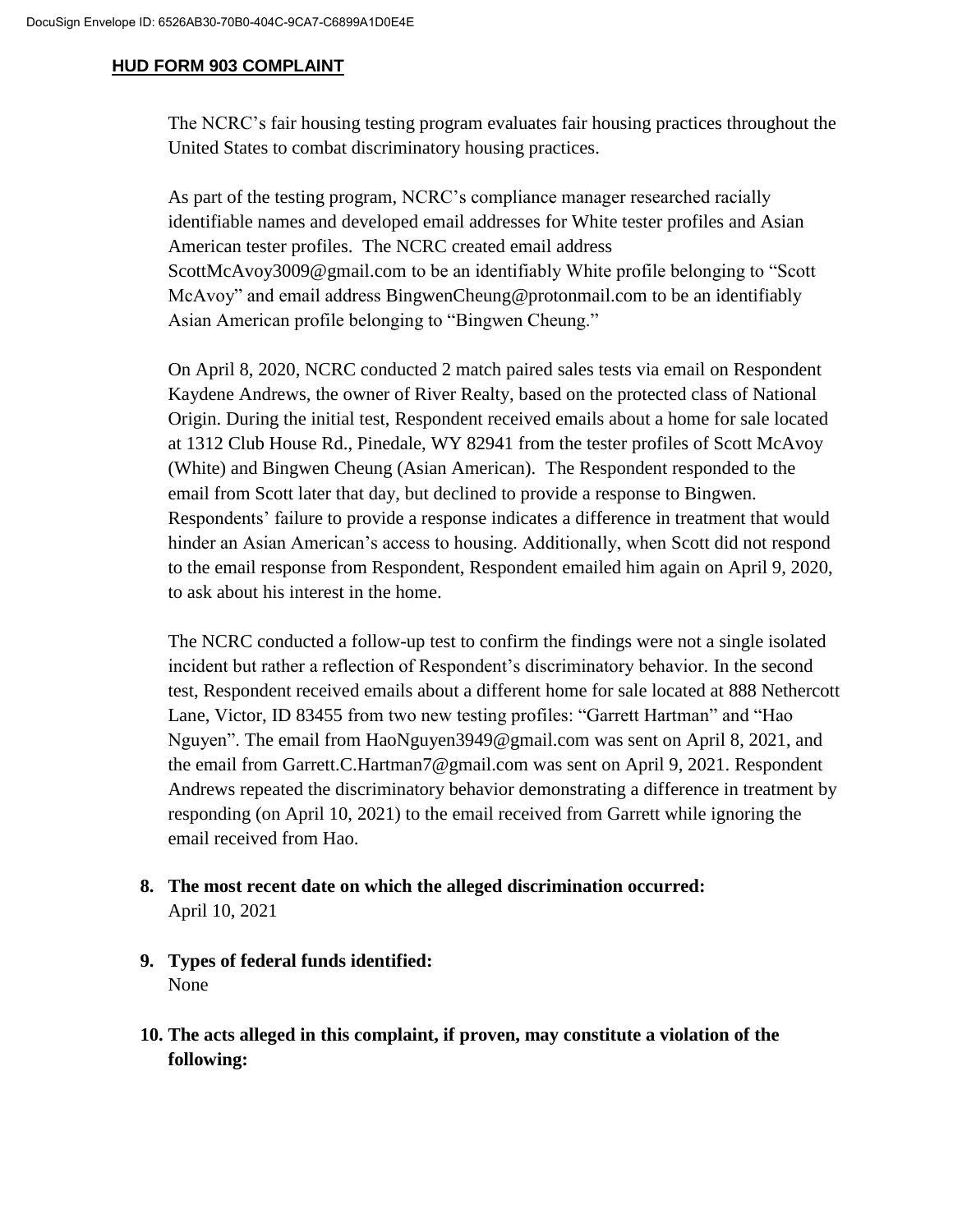#### **HUD FORM 903 COMPLAINT**

The NCRC's fair housing testing program evaluates fair housing practices throughout the United States to combat discriminatory housing practices.

As part of the testing program, NCRC's compliance manager researched racially identifiable names and developed email addresses for White tester profiles and Asian American tester profiles. The NCRC created email address ScottMcAvoy3009@gmail.com to be an identifiably White profile belonging to "Scott McAvoy" and email address BingwenCheung@protonmail.com to be an identifiably Asian American profile belonging to "Bingwen Cheung."

On April 8, 2020, NCRC conducted 2 match paired sales tests via email on Respondent Kaydene Andrews, the owner of River Realty, based on the protected class of National Origin. During the initial test, Respondent received emails about a home for sale located at 1312 Club House Rd., Pinedale, WY 82941 from the tester profiles of Scott McAvoy (White) and Bingwen Cheung (Asian American). The Respondent responded to the email from Scott later that day, but declined to provide a response to Bingwen. Respondents' failure to provide a response indicates a difference in treatment that would hinder an Asian American's access to housing. Additionally, when Scott did not respond to the email response from Respondent, Respondent emailed him again on April 9, 2020, to ask about his interest in the home.

The NCRC conducted a follow-up test to confirm the findings were not a single isolated incident but rather a reflection of Respondent's discriminatory behavior. In the second test, Respondent received emails about a different home for sale located at 888 Nethercott Lane, Victor, ID 83455 from two new testing profiles: "Garrett Hartman" and "Hao Nguyen". The email from HaoNguyen3949@gmail.com was sent on April 8, 2021, and the email from Garrett.C.Hartman7@gmail.com was sent on April 9, 2021. Respondent Andrews repeated the discriminatory behavior demonstrating a difference in treatment by responding (on April 10, 2021) to the email received from Garrett while ignoring the email received from Hao.

# **8. The most recent date on which the alleged discrimination occurred:**  April 10, 2021

**9. Types of federal funds identified:**  None

## **10. The acts alleged in this complaint, if proven, may constitute a violation of the following:**